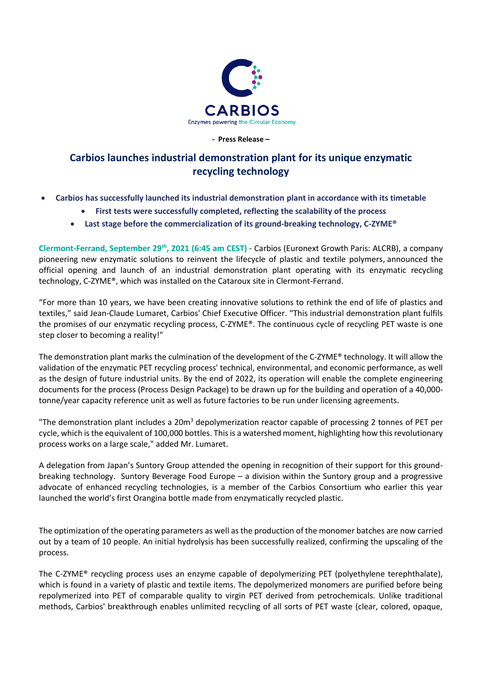

**- Press Release –**

## **Carbios launches industrial demonstration plant for its unique enzymatic recycling technology**

- **Carbios has successfully launched its industrial demonstration plant in accordance with its timetable**
	- **First tests were successfully completed, reflecting the scalability of the process**
	- **Last stage before the commercialization of its ground-breaking technology, C-ZYME®**

**Clermont-Ferrand, September 29th, 2021 (6:45 am CEST)** - Carbios (Euronext Growth Paris: ALCRB), a company pioneering new enzymatic solutions to reinvent the lifecycle of plastic and textile polymers, announced the official opening and launch of an industrial demonstration plant operating with its enzymatic recycling technology, C-ZYME®, which was installed on the Cataroux site in Clermont-Ferrand.

"For more than 10 years, we have been creating innovative solutions to rethink the end of life of plastics and textiles," said Jean-Claude Lumaret, Carbios' Chief Executive Officer. "This industrial demonstration plant fulfils the promises of our enzymatic recycling process, C-ZYME®. The continuous cycle of recycling PET waste is one step closer to becoming a reality!"

The demonstration plant marks the culmination of the development of the C-ZYME® technology. It will allow the validation of the enzymatic PET recycling process' technical, environmental, and economic performance, as well as the design of future industrial units. By the end of 2022, its operation will enable the complete engineering documents for the process (Process Design Package) to be drawn up for the building and operation of a 40,000 tonne/year capacity reference unit as well as future factories to be run under licensing agreements.

"The demonstration plant includes a 20m<sup>3</sup> depolymerization reactor capable of processing 2 tonnes of PET per cycle, which is the equivalent of 100,000 bottles. This is a watershed moment, highlighting how this revolutionary process works on a large scale," added Mr. Lumaret.

A delegation from Japan's Suntory Group attended the opening in recognition of their support for this groundbreaking technology. Suntory Beverage Food Europe – a division within the Suntory group and a progressive advocate of enhanced recycling technologies, is a member of the Carbios Consortium who earlier this year launched the world's first Orangina bottle made from enzymatically recycled plastic.

The optimization of the operating parameters as well as the production of the monomer batches are now carried out by a team of 10 people. An initial hydrolysis has been successfully realized, confirming the upscaling of the process.

The C-ZYME® recycling process uses an enzyme capable of depolymerizing PET (polyethylene terephthalate), which is found in a variety of plastic and textile items. The depolymerized monomers are purified before being repolymerized into PET of comparable quality to virgin PET derived from petrochemicals. Unlike traditional methods, Carbios' breakthrough enables unlimited recycling of all sorts of PET waste (clear, colored, opaque,